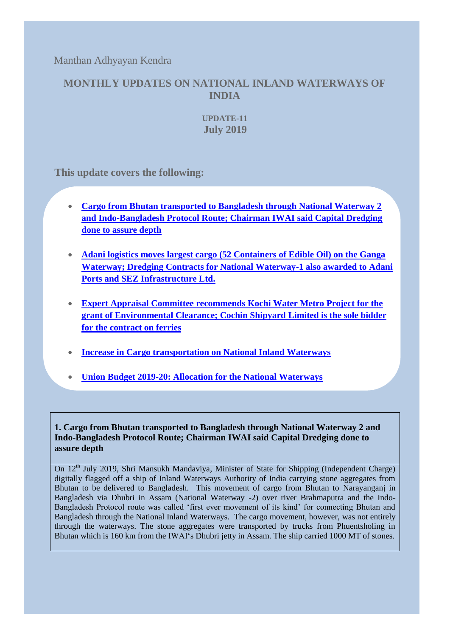Manthan Adhyayan Kendra

## **MONTHLY UPDATES ON NATIONAL INLAND WATERWAYS OF INDIA**

**UPDATE-11 July 2019**

**This update covers the following:** 

- **[Cargo from Bhutan transported to Bangladesh through National Waterway 2](#page-0-0)  [and Indo-Bangladesh Protocol Route; Chairman IWAI said Capital Dredging](#page-0-0)  done [to assure depth](#page-0-0)**
- **[Adani logistics moves largest cargo \(52 Containers of Edible Oil\) on the Ganga](#page-1-0) [Waterway; Dredging Contracts for National Waterway-1 also awarded to Adani](#page-1-0)  [Ports and SEZ Infrastructure Ltd.](#page-1-0)**
- **[Expert Appraisal Committee recommends Kochi Water Metro Project for the](#page-3-0)  [grant of Environmental Clearance; Cochin Shipyard Limited is the sole bidder](#page-3-0)  [for the contract on ferries](#page-3-0)**
- **[Increase in Cargo transportation on National Inland Waterways](#page-3-1)**
- **[Union Budget 2019-20: Allocation for the National Waterways](#page-4-0)**

<span id="page-0-0"></span>**1. Cargo from Bhutan transported to Bangladesh through National Waterway 2 and Indo-Bangladesh Protocol Route; Chairman IWAI said Capital Dredging done to assure depth**

On 12<sup>th</sup> July 2019, Shri Mansukh Mandaviya, Minister of State for Shipping (Independent Charge) digitally flagged off a ship of Inland Waterways Authority of India carrying stone aggregates from Bhutan to be delivered to Bangladesh. This movement of cargo from Bhutan to Narayanganj in Bangladesh via Dhubri in Assam (National Waterway -2) over river Brahmaputra and the Indo-Bangladesh Protocol route was called 'first ever movement of its kind' for connecting Bhutan and Bangladesh through the National Inland Waterways. The cargo movement, however, was not entirely through the waterways. The stone aggregates were transported by trucks from Phuentsholing in Bhutan which is 160 km from the IWAI's Dhubri jetty in Assam. The ship carried 1000 MT of stones.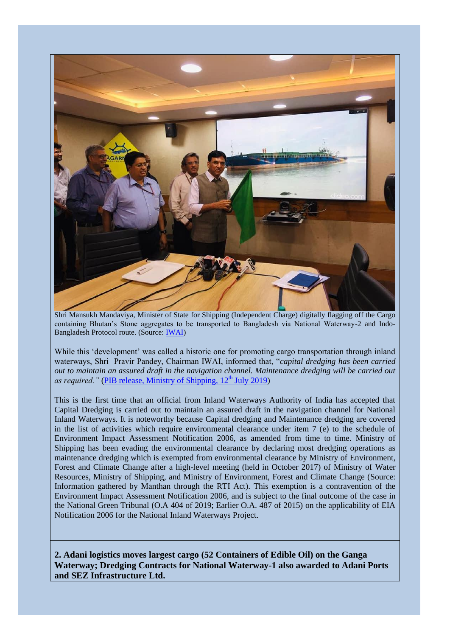

Shri Mansukh Mandaviya, Minister of State for Shipping (Independent Charge) digitally flagging off the Cargo containing Bhutan's Stone aggregates to be transported to Bangladesh via National Waterway-2 and Indo-Bangladesh Protocol route. (Source: [IWAI\)](https://www.facebook.com/239604849793692/photos/pcb.696463220774517/696463090774530/?type=3&theater)

While this 'development' was called a historic one for promoting cargo transportation through inland waterways, Shri Pravir Pandey, Chairman IWAI, informed that, "*capital dredging has been carried out to maintain an assured draft in the navigation channel. Maintenance dredging will be carried out as required.*" [\(PIB release, Ministry of Shipping, 12](http://pib.nic.in/newsite/PrintRelease.aspx?relid=191648)<sup>th</sup> July 2019)

This is the first time that an official from Inland Waterways Authority of India has accepted that Capital Dredging is carried out to maintain an assured draft in the navigation channel for National Inland Waterways. It is noteworthy because Capital dredging and Maintenance dredging are covered in the list of activities which require environmental clearance under item 7 (e) to the schedule of Environment Impact Assessment Notification 2006, as amended from time to time. Ministry of Shipping has been evading the environmental clearance by declaring most dredging operations as maintenance dredging which is exempted from environmental clearance by Ministry of Environment, Forest and Climate Change after a high-level meeting (held in October 2017) of Ministry of Water Resources, Ministry of Shipping, and Ministry of Environment, Forest and Climate Change (Source: Information gathered by Manthan through the RTI Act). This exemption is a contravention of the Environment Impact Assessment Notification 2006, and is subject to the final outcome of the case in the National Green Tribunal (O.A 404 of 2019; Earlier O.A. 487 of 2015) on the applicability of EIA Notification 2006 for the National Inland Waterways Project.

<span id="page-1-0"></span>**2. Adani logistics moves largest cargo (52 Containers of Edible Oil) on the Ganga Waterway; Dredging Contracts for National Waterway-1 also awarded to Adani Ports and SEZ Infrastructure Ltd.**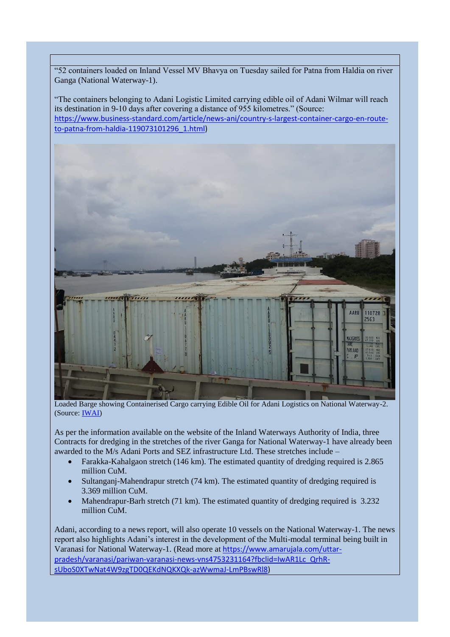"52 containers loaded on Inland Vessel MV Bhavya on Tuesday sailed for Patna from Haldia on river Ganga (National Waterway-1).

"The containers belonging to Adani Logistic Limited carrying edible oil of Adani Wilmar will reach its destination in 9-10 days after covering a distance of 955 kilometres." (Source: [https://www.business-standard.com/article/news-ani/country-s-largest-container-cargo-en-route](https://www.business-standard.com/article/news-ani/country-s-largest-container-cargo-en-route-to-patna-from-haldia-119073101296_1.html)[to-patna-from-haldia-119073101296\\_1.html\)](https://www.business-standard.com/article/news-ani/country-s-largest-container-cargo-en-route-to-patna-from-haldia-119073101296_1.html)



Loaded Barge showing Containerised Cargo carrying Edible Oil for Adani Logistics on National Waterway-2. (Source: [IWAI\)](https://www.facebook.com/239604849793692/photos/pcb.708032509617588/708032466284259/?type=3&theater)

As per the information available on the website of the Inland Waterways Authority of India, three Contracts for dredging in the stretches of the river Ganga for National Waterway-1 have already been awarded to the M/s Adani Ports and SEZ infrastructure Ltd. These stretches include –

- Farakka-Kahalgaon stretch (146 km). The estimated quantity of dredging required is 2.865 million CuM.
- Sultanganj-Mahendrapur stretch (74 km). The estimated quantity of dredging required is 3.369 million CuM.
- Mahendrapur-Barh stretch (71 km). The estimated quantity of dredging required is 3.232 million CuM

Adani, according to a news report, will also operate 10 vessels on the National Waterway-1. The news report also highlights Adani's interest in the development of the Multi-modal terminal being built in Varanasi for National Waterway-1. (Read more at [https://www.amarujala.com/uttar](https://www.amarujala.com/uttar-pradesh/varanasi/pariwan-varanasi-news-vns4753231164?fbclid=IwAR1Lc_QrhR-sUboS0XTwNat4W9zgTD0QEKdNQKXQk-azWwmaJ-LmPBswRl8)[pradesh/varanasi/pariwan-varanasi-news-vns4753231164?fbclid=IwAR1Lc\\_QrhR](https://www.amarujala.com/uttar-pradesh/varanasi/pariwan-varanasi-news-vns4753231164?fbclid=IwAR1Lc_QrhR-sUboS0XTwNat4W9zgTD0QEKdNQKXQk-azWwmaJ-LmPBswRl8)[sUboS0XTwNat4W9zgTD0QEKdNQKXQk-azWwmaJ-LmPBswRl8\)](https://www.amarujala.com/uttar-pradesh/varanasi/pariwan-varanasi-news-vns4753231164?fbclid=IwAR1Lc_QrhR-sUboS0XTwNat4W9zgTD0QEKdNQKXQk-azWwmaJ-LmPBswRl8)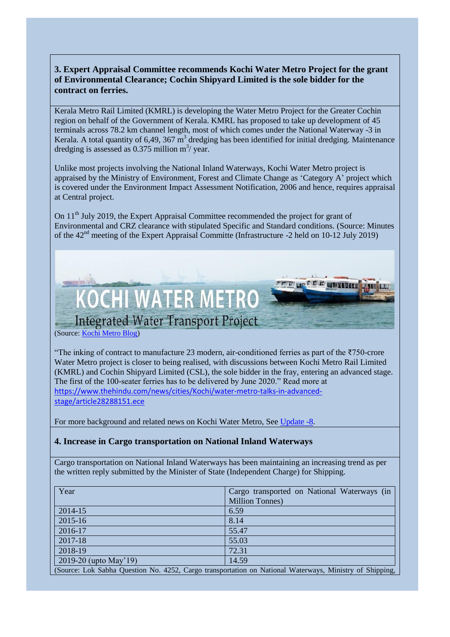## <span id="page-3-0"></span>**3. Expert Appraisal Committee recommends Kochi Water Metro Project for the grant of Environmental Clearance; Cochin Shipyard Limited is the sole bidder for the contract on ferries.**

Kerala Metro Rail Limited (KMRL) is developing the Water Metro Project for the Greater Cochin region on behalf of the Government of Kerala. KMRL has proposed to take up development of 45 terminals across 78.2 km channel length, most of which comes under the National Waterway -3 in Kerala. A total quantity of 6,49,  $367 \text{ m}^3$  dredging has been identified for initial dredging. Maintenance dredging is assessed as  $0.375$  million m<sup>3</sup>/ year.

Unlike most projects involving the National Inland Waterways, Kochi Water Metro project is appraised by the Ministry of Environment, Forest and Climate Change as 'Category A' project which is covered under the Environment Impact Assessment Notification, 2006 and hence, requires appraisal at Central project.

On 11<sup>th</sup> July 2019, the Expert Appraisal Committee recommended the project for grant of Environmental and CRZ clearance with stipulated Specific and Standard conditions. (Source: Minutes of the 42nd meeting of the Expert Appraisal Committe (Infrastructure -2 held on 10-12 July 2019)



(Source: [Kochi Metro Blog\)](http://blog.kochimetro.org/2016/06/20/kmrl-signs-agreement-with-kfw-for-integrated-water-transport-project/)

"The inking of contract to manufacture 23 modern, air-conditioned ferries as part of the ₹750-crore Water Metro project is closer to being realised, with discussions between Kochi Metro Rail Limited (KMRL) and Cochin Shipyard Limited (CSL), the sole bidder in the fray, entering an advanced stage. The first of the 100-seater ferries has to be delivered by June 2020." Read more at [https://www.thehindu.com/news/cities/Kochi/water-metro-talks-in-advanced](https://www.thehindu.com/news/cities/Kochi/water-metro-talks-in-advanced-stage/article28288151.ece)[stage/article28288151.ece](https://www.thehindu.com/news/cities/Kochi/water-metro-talks-in-advanced-stage/article28288151.ece)

<span id="page-3-1"></span>For more background and related news on Kochi Water Metro, Se[e Update -8](https://www.manthan-india.org/wp-content/uploads/2019/05/April-2019-Monthly-update-Manthan-Repaired.pdf).

## **4. Increase in Cargo transportation on National Inland Waterways**

Cargo transportation on National Inland Waterways has been maintaining an increasing trend as per the written reply submitted by the Minister of State (Independent Charge) for Shipping.

| Year                                                                                                    | Cargo transported on National Waterways (in |
|---------------------------------------------------------------------------------------------------------|---------------------------------------------|
|                                                                                                         | Million Tonnes)                             |
| 2014-15                                                                                                 | 6.59                                        |
| 2015-16                                                                                                 | 8.14                                        |
| 2016-17                                                                                                 | 55.47                                       |
| 2017-18                                                                                                 | 55.03                                       |
| 2018-19                                                                                                 | 72.31                                       |
| 2019-20 (upto May'19)                                                                                   | 14.59                                       |
| (Source: Lok Sabha Question No. 4252, Cargo transportation on National Waterways, Ministry of Shipping, |                                             |